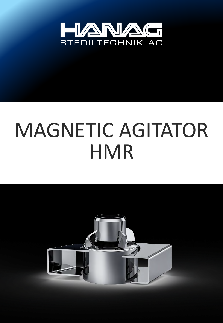

# **MAGNETIC AGITATOR HMR**

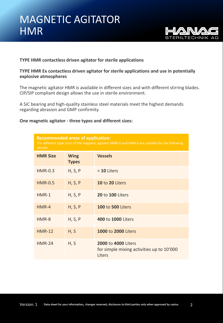

## **TYPE HMR contactless driven agitator for sterile applications**

## **TYPE HMR Ex contactless driven agitator for sterile applications and use in potentially explosive atmospheres**

The magnetic agitator HMR is available in different sizes and with different stirring blades. CIP/SIP compliant design allows the use in sterile environment.

A SiC bearing and high-quality stainless steel materials meet the highest demands regarding abrasion and GMP confirmity.

## **One magnetic agitator - three types and different sizes:**

| <b>Recommended areas of application:</b><br>The different type sizes of the magnetic agitator HMR-H and HMR-S are suitable for the following<br>vessels: |                             |                                                                                   |  |  |
|----------------------------------------------------------------------------------------------------------------------------------------------------------|-----------------------------|-----------------------------------------------------------------------------------|--|--|
| <b>HMR Size</b>                                                                                                                                          | <b>Wing</b><br><b>Types</b> | <b>Vessels</b>                                                                    |  |  |
| <b>HMR-0.3</b>                                                                                                                                           | H, S, P                     | < 10 Liters                                                                       |  |  |
| <b>HMR-0.5</b>                                                                                                                                           | H, S, P                     | 10 to 20 Liters                                                                   |  |  |
| $HMR-1$                                                                                                                                                  | H, S, P                     | <b>20 to 100 Liters</b>                                                           |  |  |
| $HMR-4$                                                                                                                                                  | H, S, P                     | <b>100 to 500 Liters</b>                                                          |  |  |
| HMR-8                                                                                                                                                    | H, S, P                     | 400 to 1000 Liters                                                                |  |  |
| <b>HMR-12</b>                                                                                                                                            | H, S                        | 1000 to 2000 Liters                                                               |  |  |
| <b>HMR-24</b>                                                                                                                                            | H, S                        | <b>2000 to 4000 Liters</b><br>for simple mixing activities up to 10'000<br>Liters |  |  |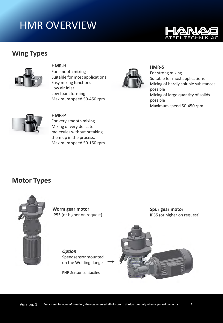# HMR OVERVIEW



## **Wing Types**



#### **HMR-H**

For smooth mixing Suitable for most applications Easy mixing functions Low air inlet Low foam forming Maximum speed 50-450 rpm



## **HMR-S** For strong mixing Suitable for most applications Mixing of hardly soluble substances possible Mixing of large quantity of solids possible Maximum speed 50-450 rpm



### **HMR-P**

For very smooth mixing Mixing of very delicate molecules without breaking them up in the process. Maximum speed 50-150 rpm

## **Motor Types**



**Worm gear motor** IP55 (or higher on request) **Spur gear motor** IP55 (or higher on request)

*Option* Speedsensor mounted on the Welding flange

PNP-Sensor contactless

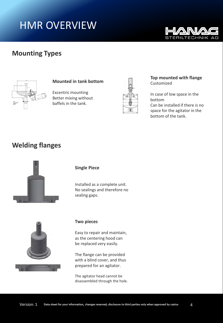# HMR OVERVIEW



## **Mounting Types**



## **Mounted in tank bottom**

Excentric mounting Better mixing without baffels in the tank.



## **Top mounted with flange** Customized

In case of low space in the bottom Can be installed if there is no space for the agitator in the bottom of the tank.

## **Welding flanges**



## **Single Piece**

Installed as a complete unit. No sealings and therefore no sealing gaps.



### **Two pieces**

Easy to repair and maintain, as the centering hood can be replaced very easily.

The flange can be provided with a blind cover, and thus prepared for an agitator.

The agitator head cannot be disassembled through the hole.